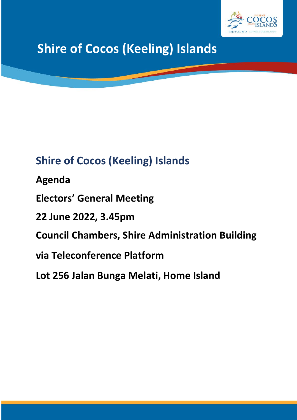

# **Shire of Cocos (Keeling) Islands**

## **Shire of Cocos (Keeling) Islands**

**Agenda**

**Electors' General Meeting**

**22 June 2022, 3.45pm**

**Council Chambers, Shire Administration Building** 

**via Teleconference Platform**

**Lot 256 Jalan Bunga Melati, Home Island**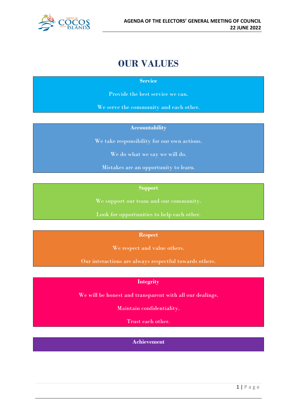

## **OUR VALUES**

**Service**

Provide the best service we can.

We serve the community and each other.

#### **Accountability**

We take responsibility for our own actions.

We do what we say we will do.

Mistakes are an opportunity to learn.

**Support**

We support our team and our community.

Look for opportunities to help each other.

#### **Respect**

We respect and value others.

Our interactions are always respectful towards others.

#### **Integrity**

We will be honest and transparent with all our dealings.

Maintain confidentiality.

Trust each other.

**Achievement**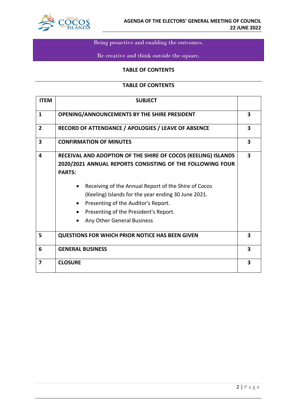

## Being proactive and enabling the outcomes.

## Be creative and think outside the square.

#### **TABLE OF CONTENTS**

#### **TABLE OF CONTENTS**

| <b>ITEM</b>    | <b>SUBJECT</b>                                                                                                                                                                                                                                                                                                                                                           |                         |
|----------------|--------------------------------------------------------------------------------------------------------------------------------------------------------------------------------------------------------------------------------------------------------------------------------------------------------------------------------------------------------------------------|-------------------------|
| $\mathbf{1}$   | <b>OPENING/ANNOUNCEMENTS BY THE SHIRE PRESIDENT</b>                                                                                                                                                                                                                                                                                                                      | $\overline{\mathbf{3}}$ |
| 2              | RECORD OF ATTENDANCE / APOLOGIES / LEAVE OF ABSENCE                                                                                                                                                                                                                                                                                                                      | 3                       |
| 3              | <b>CONFIRMATION OF MINUTES</b>                                                                                                                                                                                                                                                                                                                                           | 3                       |
| 4              | RECEIVAL AND ADOPTION OF THE SHIRE OF COCOS (KEELING) ISLANDS<br>2020/2021 ANNUAL REPORTS CONSISTING OF THE FOLLOWING FOUR<br><b>PARTS:</b><br>Receiving of the Annual Report of the Shire of Cocos<br>(Keeling) Islands for the year ending 30 June 2021.<br>Presenting of the Auditor's Report.<br>Presenting of the President's Report.<br>Any Other General Business | 3                       |
| 5              | <b>QUESTIONS FOR WHICH PRIOR NOTICE HAS BEEN GIVEN</b>                                                                                                                                                                                                                                                                                                                   | 3                       |
| 6              | <b>GENERAL BUSINESS</b>                                                                                                                                                                                                                                                                                                                                                  | $\overline{\mathbf{3}}$ |
| $\overline{7}$ | <b>CLOSURE</b>                                                                                                                                                                                                                                                                                                                                                           | 3                       |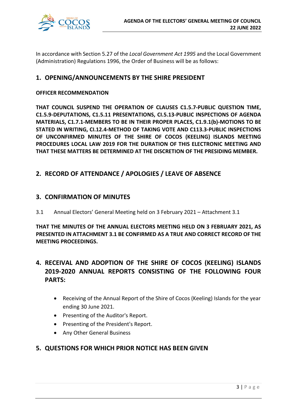

In accordance with Section 5.27 of the *Local Government Act 1995* and the Local Government (Administration) Regulations 1996, the Order of Business will be as follows:

## **1. OPENING/ANNOUNCEMENTS BY THE SHIRE PRESIDENT**

#### **OFFICER RECOMMENDATION**

**THAT COUNCIL SUSPEND THE OPERATION OF CLAUSES C1.5.7-PUBLIC QUESTION TIME, C1.5.9-DEPUTATIONS, C1.5.11 PRESENTATIONS, CI.5.13-PUBLIC INSPECTIONS OF AGENDA MATERIALS, C1.7.1-MEMBERS TO BE IN THEIR PROPER PLACES, C1.9.1(b)-MOTIONS TO BE STATED IN WRITING, CI.12.4-METHOD OF TAKING VOTE AND C113.3-PUBLIC INSPECTIONS OF UNCONFIRMED MINUTES OF THE SHIRE OF COCOS (KEELING) ISLANDS MEETING PROCEDURES LOCAL LAW 2019 FOR THE DURATION OF THIS ELECTRONIC MEETING AND THAT THESE MATTERS BE DETERMINED AT THE DISCRETION OF THE PRESIDING MEMBER.**

### **2. RECORD OF ATTENDANCE / APOLOGIES / LEAVE OF ABSENCE**

#### **3. CONFIRMATION OF MINUTES**

3.1 Annual Electors' General Meeting held on 3 February 2021 – Attachment 3.1

**THAT THE MINUTES OF THE ANNUAL ELECTORS MEETING HELD ON 3 FEBRUARY 2021, AS PRESENTED IN ATTACHMENT 3.1 BE CONFIRMED AS A TRUE AND CORRECT RECORD OF THE MEETING PROCEEDINGS.**

## **4. RECEIVAL AND ADOPTION OF THE SHIRE OF COCOS (KEELING) ISLANDS 2019-2020 ANNUAL REPORTS CONSISTING OF THE FOLLOWING FOUR PARTS:**

- Receiving of the Annual Report of the Shire of Cocos (Keeling) Islands for the year ending 30 June 2021.
- Presenting of the Auditor's Report.
- Presenting of the President's Report.
- Any Other General Business

### **5. QUESTIONS FOR WHICH PRIOR NOTICE HAS BEEN GIVEN**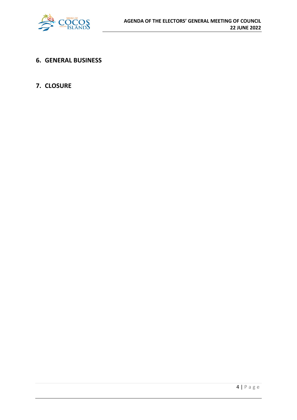

**6. GENERAL BUSINESS**

## **7. CLOSURE**